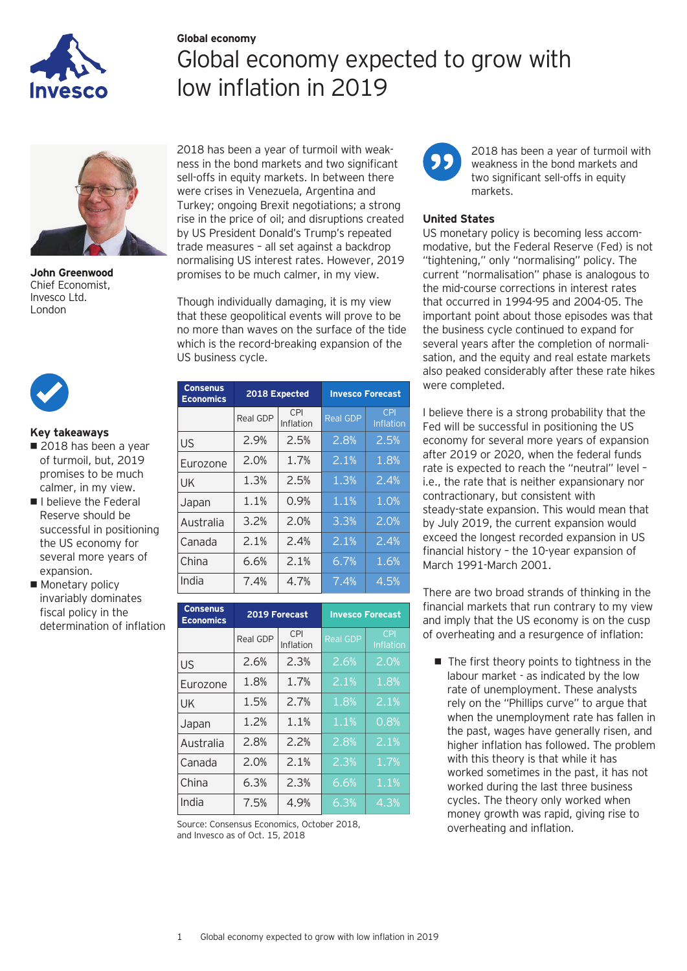

# **Global economy** Global economy expected to grow with low inflation in 2019



**John Greenwood** Chief Economist, Invesco Ltd. London



# **Key takeaways**

- 2018 has been a year of turmoil, but, 2019 promises to be much calmer, in my view.
- **I** I believe the Federal Reserve should be successful in positioning the US economy for several more years of expansion.
- **Monetary policy**  invariably dominates fiscal policy in the determination of inflation

2018 has been a year of turmoil with weakness in the bond markets and two significant sell-offs in equity markets. In between there were crises in Venezuela, Argentina and Turkey; ongoing Brexit negotiations; a strong rise in the price of oil; and disruptions created by US President Donald's Trump's repeated trade measures — all set against a backdrop normalising US interest rates. However, 2019 promises to be much calmer, in my view.

Though individually damaging, it is my view that these geopolitical events will prove to be no more than waves on the surface of the tide which is the record-breaking expansion of the US business cycle.

| <b>Consenus</b><br><b>Economics</b> | 2018 Expected |                  | <b>Invesco Forecast</b> |                         |
|-------------------------------------|---------------|------------------|-------------------------|-------------------------|
|                                     | Real GDP      | CPI<br>Inflation | <b>Real GDP</b>         | <b>CPI</b><br>Inflation |
| US                                  | 2.9%          | 2.5%             | 2.8%                    | 2.5%                    |
| Eurozone                            | 2.0%          | 1.7%             | 2.1%                    | 1.8%                    |
| UK                                  | 1.3%          | 2.5%             | 1.3%                    | 2.4%                    |
| Japan                               | 1.1%          | 0.9%             | 1.1%                    | 1.0%                    |
| Australia                           | 3.2%          | 2.0%             | 3.3%                    | 2.0%                    |
| Canada                              | 2.1%          | 2.4%             | 2.1%                    | 2.4%                    |
| China                               | 6.6%          | 2.1%             | 6.7%                    | 1.6%                    |
| India                               | 7.4%          | 4.7%             | 7.4%                    | 4.5%                    |

| <b>Consenus</b><br><b>Economics</b> | 2019 Forecast |                         | <b>Invesco Forecast</b> |                         |
|-------------------------------------|---------------|-------------------------|-------------------------|-------------------------|
|                                     | Real GDP      | <b>CPI</b><br>Inflation | <b>Real GDP</b>         | <b>CPI</b><br>Inflation |
| US                                  | 2.6%          | 2.3%                    | 2.6%                    | 2.0%                    |
| Eurozone                            | 1.8%          | 1.7%                    | 2.1%                    | 1.8%                    |
| UK                                  | 1.5%          | 2.7%                    | 1.8%                    | 2.1%                    |
| Japan                               | 1.2%          | 1.1%                    | 1.1%                    | 0.8%                    |
| Australia                           | 2.8%          | 2.2%                    | 2.8%                    | 2.1%                    |
| Canada                              | 2.0%          | 2.1%                    | 2.3%                    | 1.7%                    |
| China                               | 6.3%          | 2.3%                    | 6.6%                    | 1.1%                    |
| India                               | 7.5%          | 4.9%                    | 6.3%                    | 4.3%                    |

Source: Consensus Economics, October 2018, and Invesco as of Oct. 15, 2018



2018 has been a year of turmoil with weakness in the bond markets and two significant sell-offs in equity markets.

# **United States**

US monetary policy is becoming less accommodative, but the Federal Reserve (Fed) is not "tightening," only "normalising" policy. The current "normalisation" phase is analogous to the mid-course corrections in interest rates that occurred in 1994-95 and 2004-05. The important point about those episodes was that the business cycle continued to expand for several years after the completion of normalisation, and the equity and real estate markets also peaked considerably after these rate hikes were completed.

I believe there is a strong probability that the Fed will be successful in positioning the US economy for several more years of expansion after 2019 or 2020, when the federal funds rate is expected to reach the "neutral" level i.e., the rate that is neither expansionary nor contractionary, but consistent with steady-state expansion. This would mean that by July 2019, the current expansion would exceed the longest recorded expansion in US financial history — the 10-year expansion of March 1991-March 2001.

There are two broad strands of thinking in the financial markets that run contrary to my view and imply that the US economy is on the cusp of overheating and a resurgence of inflation:

 $\blacksquare$  The first theory points to tightness in the labour market - as indicated by the low rate of unemployment. These analysts rely on the "Phillips curve" to argue that when the unemployment rate has fallen in the past, wages have generally risen, and higher inflation has followed. The problem with this theory is that while it has worked sometimes in the past, it has not worked during the last three business cycles. The theory only worked when money growth was rapid, giving rise to overheating and inflation.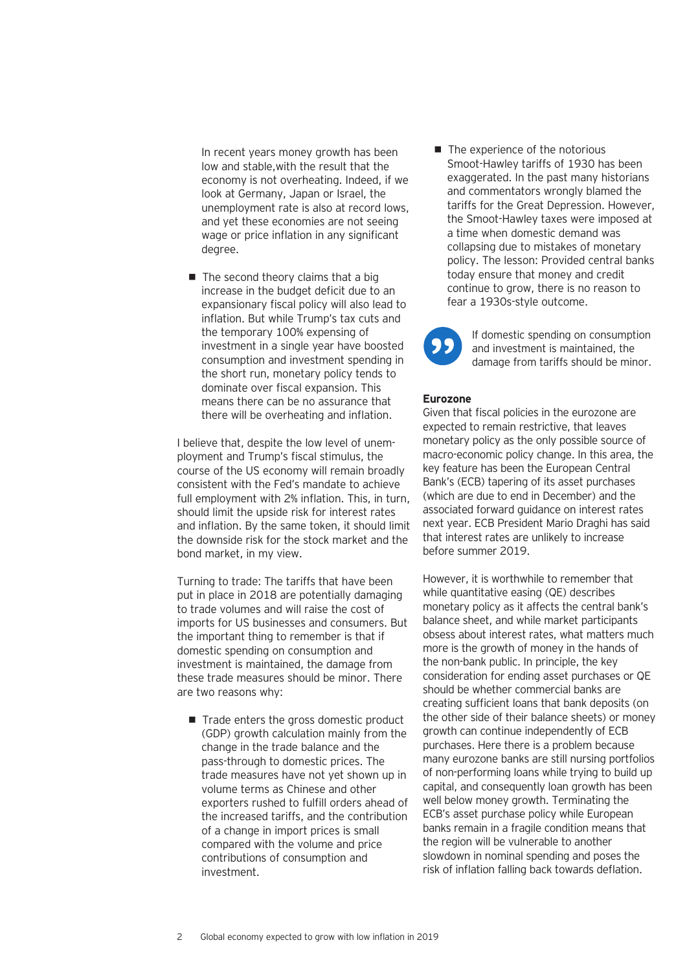In recent years money growth has been low and stable,with the result that the economy is not overheating. Indeed, if we look at Germany, Japan or Israel, the unemployment rate is also at record lows, and yet these economies are not seeing wage or price inflation in any significant degree.

 $\blacksquare$  The second theory claims that a big increase in the budget deficit due to an expansionary fiscal policy will also lead to inflation. But while Trump's tax cuts and the temporary 100% expensing of investment in a single year have boosted consumption and investment spending in the short run, monetary policy tends to dominate over fiscal expansion. This means there can be no assurance that there will be overheating and inflation.

I believe that, despite the low level of unemployment and Trump's fiscal stimulus, the course of the US economy will remain broadly consistent with the Fed's mandate to achieve full employment with 2% inflation. This, in turn, should limit the upside risk for interest rates and inflation. By the same token, it should limit the downside risk for the stock market and the bond market, in my view.

Turning to trade: The tariffs that have been put in place in 2018 are potentially damaging to trade volumes and will raise the cost of imports for US businesses and consumers. But the important thing to remember is that if domestic spending on consumption and investment is maintained, the damage from these trade measures should be minor. There are two reasons why:

 $\blacksquare$  Trade enters the gross domestic product (GDP) growth calculation mainly from the change in the trade balance and the pass-through to domestic prices. The trade measures have not yet shown up in volume terms as Chinese and other exporters rushed to fulfill orders ahead of the increased tariffs, and the contribution of a change in import prices is small compared with the volume and price contributions of consumption and investment.

• The experience of the notorious Smoot-Hawley tariffs of 1930 has been exaggerated. In the past many historians and commentators wrongly blamed the tariffs for the Great Depression. However, the Smoot-Hawley taxes were imposed at a time when domestic demand was collapsing due to mistakes of monetary policy. The lesson: Provided central banks today ensure that money and credit continue to grow, there is no reason to fear a 1930s-style outcome.

If domestic spending on consumption and investment is maintained, the damage from tariffs should be minor.

## **Eurozone**

Given that fiscal policies in the eurozone are expected to remain restrictive, that leaves monetary policy as the only possible source of macro-economic policy change. In this area, the key feature has been the European Central Bank's (ECB) tapering of its asset purchases (which are due to end in December) and the associated forward guidance on interest rates next year. ECB President Mario Draghi has said that interest rates are unlikely to increase before summer 2019.

However, it is worthwhile to remember that while quantitative easing (QE) describes monetary policy as it affects the central bank's balance sheet, and while market participants obsess about interest rates, what matters much more is the growth of money in the hands of the non-bank public. In principle, the key consideration for ending asset purchases or QE should be whether commercial banks are creating sufficient loans that bank deposits (on the other side of their balance sheets) or money growth can continue independently of ECB purchases. Here there is a problem because many eurozone banks are still nursing portfolios of non-performing loans while trying to build up capital, and consequently loan growth has been well below money growth. Terminating the ECB's asset purchase policy while European banks remain in a fragile condition means that the region will be vulnerable to another slowdown in nominal spending and poses the risk of inflation falling back towards deflation.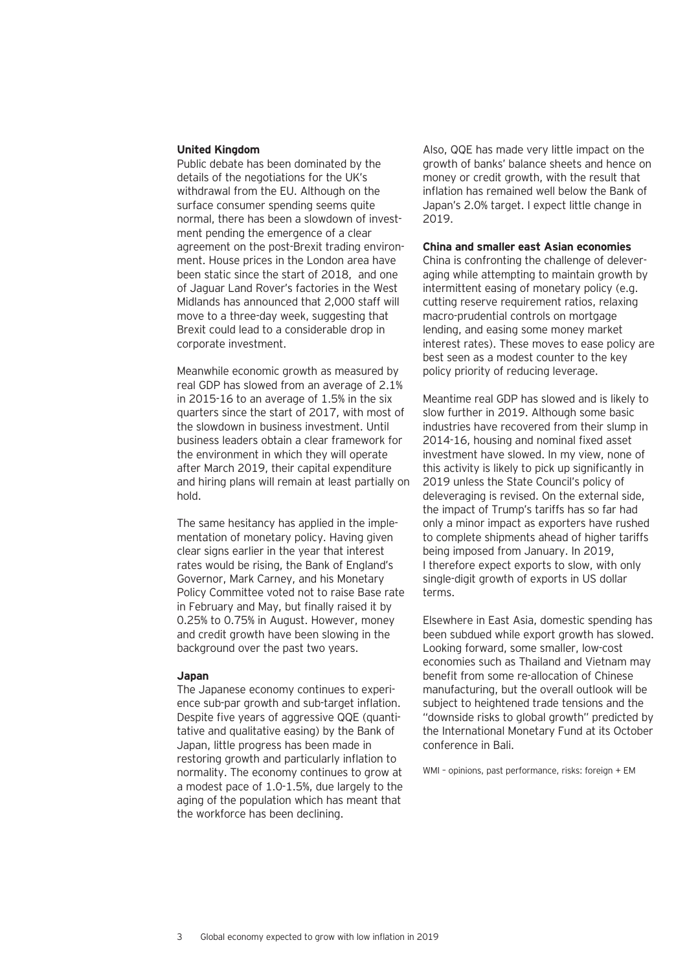### **United Kingdom**

Public debate has been dominated by the details of the negotiations for the UK's withdrawal from the EU. Although on the surface consumer spending seems quite normal, there has been a slowdown of investment pending the emergence of a clear agreement on the post-Brexit trading environment. House prices in the London area have been static since the start of 2018, and one of Jaguar Land Rover's factories in the West Midlands has announced that 2,000 staff will move to a three-day week, suggesting that Brexit could lead to a considerable drop in corporate investment.

Meanwhile economic growth as measured by real GDP has slowed from an average of 2.1% in 2015-16 to an average of 1.5% in the six quarters since the start of 2017, with most of the slowdown in business investment. Until business leaders obtain a clear framework for the environment in which they will operate after March 2019, their capital expenditure and hiring plans will remain at least partially on hold.

The same hesitancy has applied in the implementation of monetary policy. Having given clear signs earlier in the year that interest rates would be rising, the Bank of England's Governor, Mark Carney, and his Monetary Policy Committee voted not to raise Base rate in February and May, but finally raised it by 0.25% to 0.75% in August. However, money and credit growth have been slowing in the background over the past two years.

### **Japan**

The Japanese economy continues to experience sub-par growth and sub-target inflation. Despite five years of aggressive QQE (quantitative and qualitative easing) by the Bank of Japan, little progress has been made in restoring growth and particularly inflation to normality. The economy continues to grow at a modest pace of 1.0-1.5%, due largely to the aging of the population which has meant that the workforce has been declining.

Also, QQE has made very little impact on the growth of banks' balance sheets and hence on money or credit growth, with the result that inflation has remained well below the Bank of Japan's 2.0% target. I expect little change in 2019.

### **China and smaller east Asian economies**

China is confronting the challenge of deleveraging while attempting to maintain growth by intermittent easing of monetary policy (e.g. cutting reserve requirement ratios, relaxing macro-prudential controls on mortgage lending, and easing some money market interest rates). These moves to ease policy are best seen as a modest counter to the key policy priority of reducing leverage.

Meantime real GDP has slowed and is likely to slow further in 2019. Although some basic industries have recovered from their slump in 2014-16, housing and nominal fixed asset investment have slowed. In my view, none of this activity is likely to pick up significantly in 2019 unless the State Council's policy of deleveraging is revised. On the external side, the impact of Trump's tariffs has so far had only a minor impact as exporters have rushed to complete shipments ahead of higher tariffs being imposed from January. In 2019, I therefore expect exports to slow, with only single-digit growth of exports in US dollar terms.

Elsewhere in East Asia, domestic spending has been subdued while export growth has slowed. Looking forward, some smaller, low-cost economies such as Thailand and Vietnam may benefit from some re-allocation of Chinese manufacturing, but the overall outlook will be subject to heightened trade tensions and the "downside risks to global growth" predicted by the International Monetary Fund at its October conference in Bali.

WMI – opinions, past performance, risks: foreign + EM